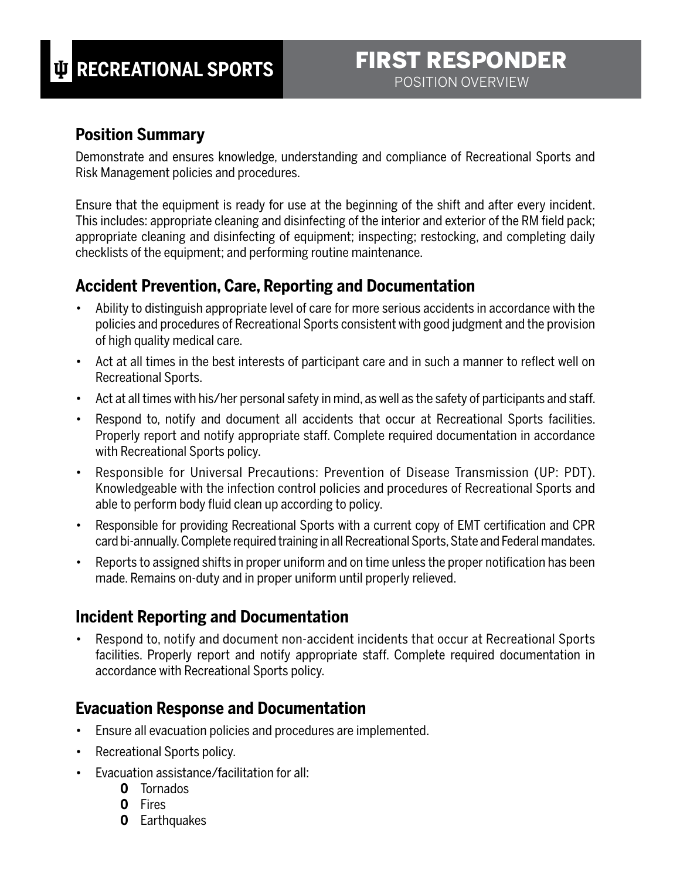#### **Position Summary**

Demonstrate and ensures knowledge, understanding and compliance of Recreational Sports and Risk Management policies and procedures.

Ensure that the equipment is ready for use at the beginning of the shift and after every incident. This includes: appropriate cleaning and disinfecting of the interior and exterior of the RM field pack; appropriate cleaning and disinfecting of equipment; inspecting; restocking, and completing daily checklists of the equipment; and performing routine maintenance.

#### **Accident Prevention, Care, Reporting and Documentation**

- Ability to distinguish appropriate level of care for more serious accidents in accordance with the policies and procedures of Recreational Sports consistent with good judgment and the provision of high quality medical care.
- Act at all times in the best interests of participant care and in such a manner to reflect well on Recreational Sports.
- Act at all times with his/her personal safety in mind, as well as the safety of participants and staff.
- Respond to, notify and document all accidents that occur at Recreational Sports facilities. Properly report and notify appropriate staff. Complete required documentation in accordance with Recreational Sports policy.
- Responsible for Universal Precautions: Prevention of Disease Transmission (UP: PDT). Knowledgeable with the infection control policies and procedures of Recreational Sports and able to perform body fluid clean up according to policy.
- Responsible for providing Recreational Sports with a current copy of EMT certification and CPR card bi-annually. Complete required training in all Recreational Sports, State and Federal mandates.
- Reports to assigned shifts in proper uniform and on time unless the proper notification has been made. Remains on-duty and in proper uniform until properly relieved.

### **Incident Reporting and Documentation**

• Respond to, notify and document non-accident incidents that occur at Recreational Sports facilities. Properly report and notify appropriate staff. Complete required documentation in accordance with Recreational Sports policy.

### **Evacuation Response and Documentation**

- Ensure all evacuation policies and procedures are implemented.
- Recreational Sports policy.
- Evacuation assistance/facilitation for all:
	- **0** Tornados
	- **0** Fires
	- **0** Earthquakes